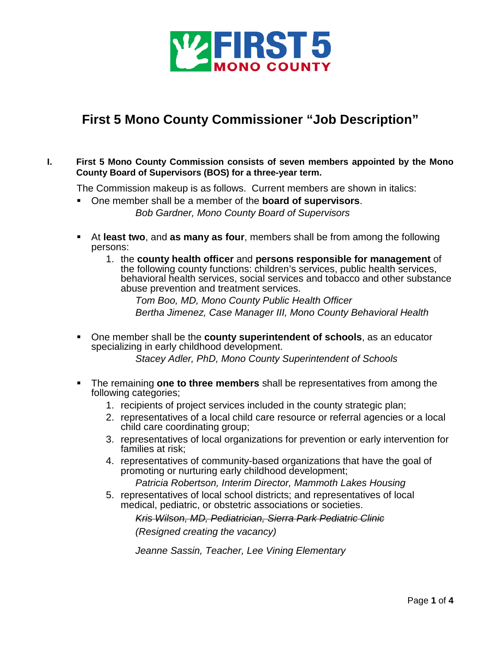

# **First 5 Mono County Commissioner "Job Description"**

## **I. First 5 Mono County Commission consists of seven members appointed by the Mono County Board of Supervisors (BOS) for a three-year term.**

The Commission makeup is as follows. Current members are shown in italics:

- One member shall be a member of the **board of supervisors**. *Bob Gardner, Mono County Board of Supervisors*
- At **least two**, and **as many as four**, members shall be from among the following persons:
	- 1. the **county health officer** and **persons responsible for management** of the following county functions: children's services, public health services, behavioral health services, social services and tobacco and other substance abuse prevention and treatment services.

*Tom Boo, MD, Mono County Public Health Officer Bertha Jimenez, Case Manager III, Mono County Behavioral Health*

- One member shall be the **county superintendent of schools**, as an educator specializing in early childhood development. *Stacey Adler, PhD, Mono County Superintendent of Schools*
- The remaining **one to three members** shall be representatives from among the following categories;
	- 1. recipients of project services included in the county strategic plan;
	- 2. representatives of a local child care resource or referral agencies or a local child care coordinating group;
	- 3. representatives of local organizations for prevention or early intervention for families at risk;
	- 4. representatives of community-based organizations that have the goal of promoting or nurturing early childhood development;
		- *Patricia Robertson, Interim Director, Mammoth Lakes Housing*
	- 5. representatives of local school districts; and representatives of local medical, pediatric, or obstetric associations or societies.

*Kris Wilson, MD, Pediatrician, Sierra Park Pediatric Clinic*

*(Resigned creating the vacancy)*

*Jeanne Sassin, Teacher, Lee Vining Elementary*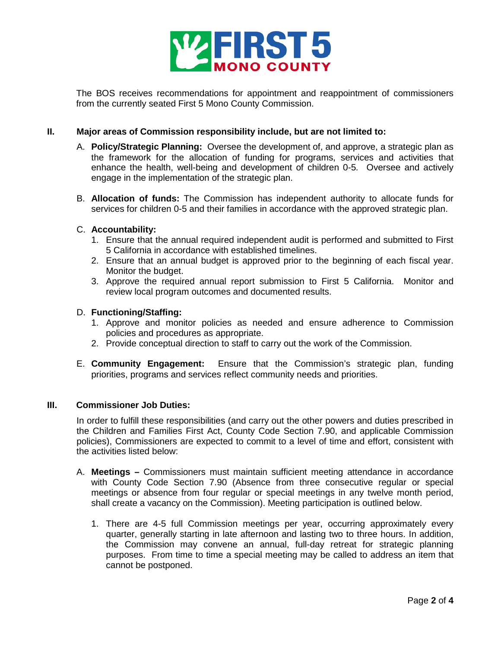

The BOS receives recommendations for appointment and reappointment of commissioners from the currently seated First 5 Mono County Commission.

### **II. Major areas of Commission responsibility include, but are not limited to:**

- A. **Policy/Strategic Planning:** Oversee the development of, and approve, a strategic plan as the framework for the allocation of funding for programs, services and activities that enhance the health, well-being and development of children 0-5*.* Oversee and actively engage in the implementation of the strategic plan.
- B. **Allocation of funds:** The Commission has independent authority to allocate funds for services for children 0-5 and their families in accordance with the approved strategic plan.

### C. **Accountability:**

- 1. Ensure that the annual required independent audit is performed and submitted to First 5 California in accordance with established timelines.
- 2. Ensure that an annual budget is approved prior to the beginning of each fiscal year. Monitor the budget.
- 3. Approve the required annual report submission to First 5 California. Monitor and review local program outcomes and documented results.

#### D. **Functioning/Staffing:**

- 1. Approve and monitor policies as needed and ensure adherence to Commission policies and procedures as appropriate.
- 2. Provide conceptual direction to staff to carry out the work of the Commission.
- E. **Community Engagement:** Ensure that the Commission's strategic plan, funding priorities, programs and services reflect community needs and priorities.

## **III. Commissioner Job Duties:**

In order to fulfill these responsibilities (and carry out the other powers and duties prescribed in the Children and Families First Act, County Code Section 7.90, and applicable Commission policies), Commissioners are expected to commit to a level of time and effort, consistent with the activities listed below:

- A. **Meetings –** Commissioners must maintain sufficient meeting attendance in accordance with County Code Section 7.90 (Absence from three consecutive regular or special meetings or absence from four regular or special meetings in any twelve month period, shall create a vacancy on the Commission). Meeting participation is outlined below.
	- 1. There are 4-5 full Commission meetings per year, occurring approximately every quarter, generally starting in late afternoon and lasting two to three hours. In addition, the Commission may convene an annual, full-day retreat for strategic planning purposes. From time to time a special meeting may be called to address an item that cannot be postponed.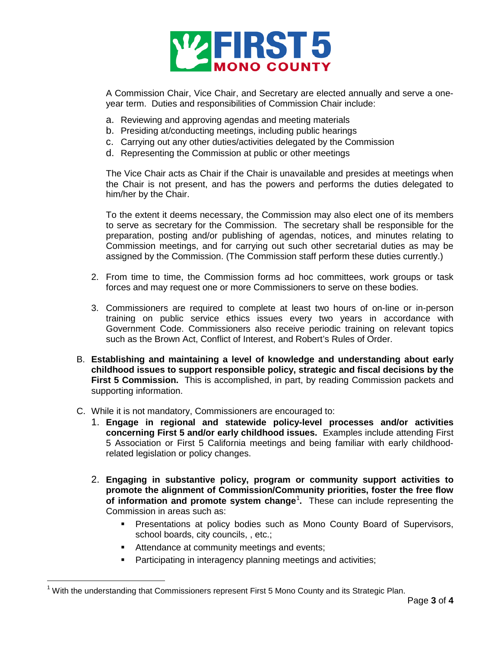

A Commission Chair, Vice Chair, and Secretary are elected annually and serve a oneyear term. Duties and responsibilities of Commission Chair include:

- a. Reviewing and approving agendas and meeting materials
- b. Presiding at/conducting meetings, including public hearings
- c. Carrying out any other duties/activities delegated by the Commission
- d. Representing the Commission at public or other meetings

The Vice Chair acts as Chair if the Chair is unavailable and presides at meetings when the Chair is not present, and has the powers and performs the duties delegated to him/her by the Chair.

To the extent it deems necessary, the Commission may also elect one of its members to serve as secretary for the Commission. The secretary shall be responsible for the preparation, posting and/or publishing of agendas, notices, and minutes relating to Commission meetings, and for carrying out such other secretarial duties as may be assigned by the Commission. (The Commission staff perform these duties currently.)

- 2. From time to time, the Commission forms ad hoc committees, work groups or task forces and may request one or more Commissioners to serve on these bodies.
- 3. Commissioners are required to complete at least two hours of on-line or in-person training on public service ethics issues every two years in accordance with Government Code. Commissioners also receive periodic training on relevant topics such as the Brown Act, Conflict of Interest, and Robert's Rules of Order.
- B. **Establishing and maintaining a level of knowledge and understanding about early childhood issues to support responsible policy, strategic and fiscal decisions by the First 5 Commission.** This is accomplished, in part, by reading Commission packets and supporting information.
- C. While it is not mandatory, Commissioners are encouraged to:
	- 1. **Engage in regional and statewide policy-level processes and/or activities concerning First 5 and/or early childhood issues.** Examples include attending First 5 Association or First 5 California meetings and being familiar with early childhoodrelated legislation or policy changes.
	- 2. **Engaging in substantive policy, program or community support activities to promote the alignment of Commission/Community priorities, foster the free flow of information and promote system change**[1](#page-2-0) **.** These can include representing the Commission in areas such as:
		- Presentations at policy bodies such as Mono County Board of Supervisors, school boards, city councils, , etc.;
		- **EXECUTE:** Attendance at community meetings and events;
		- **Participating in interagency planning meetings and activities;**

 $\overline{a}$ 

<span id="page-2-0"></span> $1$  With the understanding that Commissioners represent First 5 Mono County and its Strategic Plan.